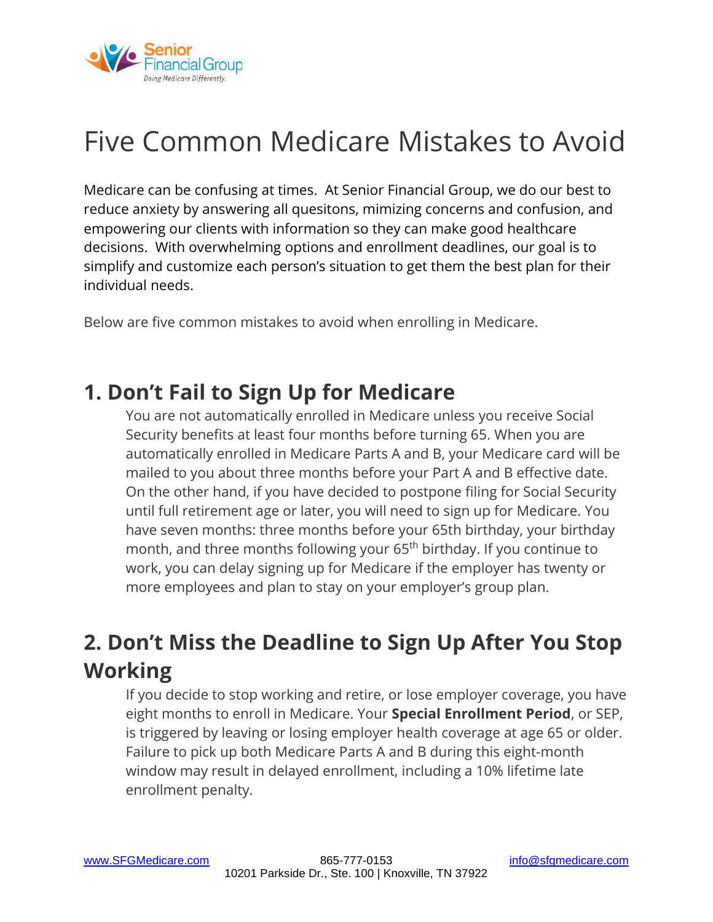

# [Five Common Medicare Mistakes to Avoid](https://sfgmedicare.com/five-common-medicare-mistakes-to-avoid/)

Medicare can be confusing at times. At Senior Financial Group, we do our best to reduce anxiety by answering all quesitons, mimizing concerns and confusion, and empowering our clients with information so they can make good healthcare decisions. With overwhelming options and enrollment deadlines, our goal is to simplify and customize each person's situation to get them the best plan for their individual needs.

Below are five common mistakes to avoid when enrolling in Medicare.

#### **1. Don't Fail to Sign Up for Medicare**

You are not automatically enrolled in Medicare unless you receive Social Security benefits at least four months before turning 65. When you are automatically enrolled in Medicare Parts A and B, your Medicare card will be mailed to you about three months before your Part A and B effective date. On the other hand, if you have decided to postpone filing for Social Security until full retirement age or later, you will need to sign up for Medicare. You have seven months: three months before your 65th birthday, your birthday month, and three months following your 65<sup>th</sup> birthday. If you continue to work, you can delay signing up for Medicare if the employer has twenty or more employees and plan to stay on your employer's group plan.

#### **2. Don't Miss the Deadline to Sign Up After You Stop Working**

If you decide to stop working and retire, or lose employer coverage, you have eight months to enroll in Medicare. Your **Special Enrollment Period**, or SEP, is triggered by leaving or losing employer health coverage at age 65 or older. Failure to pick up both Medicare Parts A and B during this eight-month window may result in delayed enrollment, including a 10% lifetime late enrollment penalty.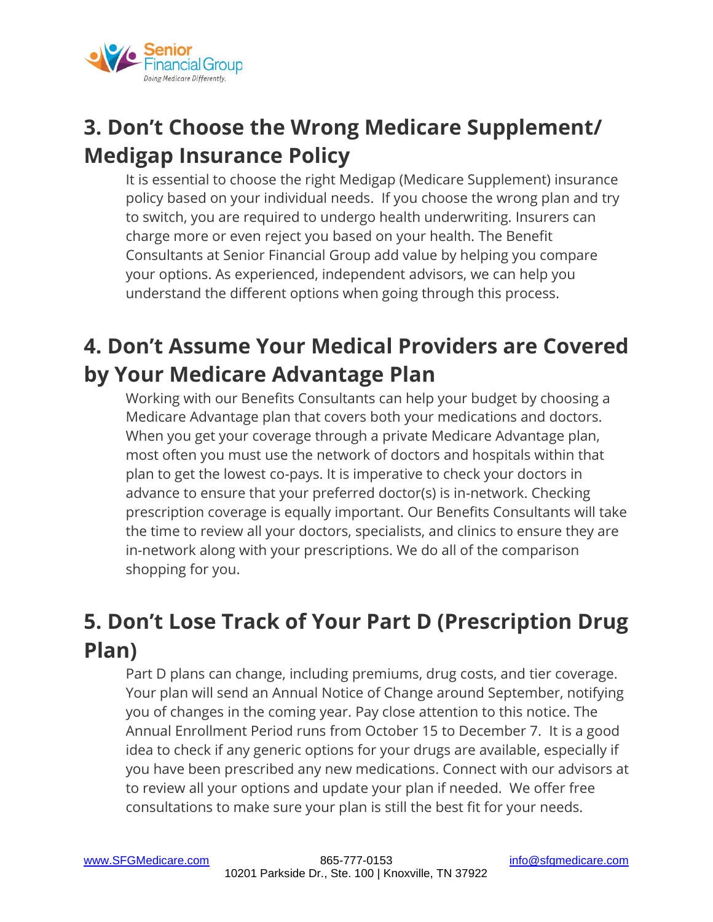

## **3. Don't Choose the Wrong Medicare Supplement/ Medigap Insurance Policy**

It is essential to choose the right Medigap (Medicare Supplement) insurance policy based on your individual needs. If you choose the wrong plan and try to switch, you are required to undergo health underwriting. Insurers can charge more or even reject you based on your health. The Benefit Consultants at Senior Financial Group add value by helping you compare your options. As experienced, independent advisors, we can help you understand the different options when going through this process.

## **4. Don't Assume Your Medical Providers are Covered by Your Medicare Advantage Plan**

Working with our Benefits Consultants can help your budget by choosing a Medicare Advantage plan that covers both your medications and doctors. When you get your coverage through a private Medicare Advantage plan, most often you must use the network of doctors and hospitals within that plan to get the lowest co-pays. It is imperative to check your doctors in advance to ensure that your preferred doctor(s) is in-network. Checking prescription coverage is equally important. Our Benefits Consultants will take the time to review all your doctors, specialists, and clinics to ensure they are in-network along with your prescriptions. We do all of the comparison shopping for you.

### **5. Don't Lose Track of Your Part D (Prescription Drug Plan)**

Part D plans can change, including premiums, drug costs, and tier coverage. Your plan will send an Annual Notice of Change around September, notifying you of changes in the coming year. Pay close attention to this notice. The Annual Enrollment Period runs from October 15 to December 7. It is a good idea to check if any generic options for your drugs are available, especially if you have been prescribed any new medications. Connect with our advisors at to review all your options and update your plan if needed. We offer free consultations to make sure your plan is still the best fit for your needs.